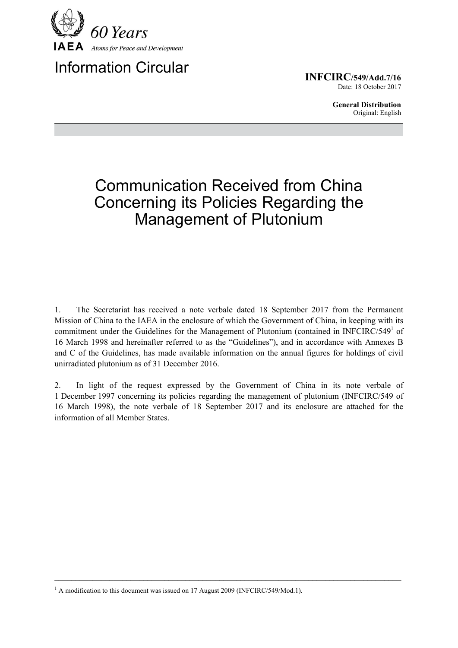

Information Circular

**INFCIRC/549/Add.7/16** Date: 18 October 2017

> **General Distribution** Original: English

## Communication Received from China Concerning its Policies Regarding the Management of Plutonium

1. The Secretariat has received a note verbale dated 18 September 2017 from the Permanent Mission of China to the IAEA in the enclosure of which the Government of China, in keeping with its commitment under the Guidelines for the Management of Plutonium (contained in INFCIRC/549<sup>1</sup> of 16 March 1998 and hereinafter referred to as the "Guidelines"), and in accordance with Annexes B and C of the Guidelines, has made available information on the annual figures for holdings of civil unirradiated plutonium as of 31 December 2016.

2. In light of the request expressed by the Government of China in its note verbale of 1 December 1997 concerning its policies regarding the management of plutonium (INFCIRC/549 of 16 March 1998), the note verbale of 18 September 2017 and its enclosure are attached for the information of all Member States.

 $\mathcal{L}_\mathcal{L} = \{ \mathcal{L}_\mathcal{L} = \{ \mathcal{L}_\mathcal{L} = \{ \mathcal{L}_\mathcal{L} = \{ \mathcal{L}_\mathcal{L} = \{ \mathcal{L}_\mathcal{L} = \{ \mathcal{L}_\mathcal{L} = \{ \mathcal{L}_\mathcal{L} = \{ \mathcal{L}_\mathcal{L} = \{ \mathcal{L}_\mathcal{L} = \{ \mathcal{L}_\mathcal{L} = \{ \mathcal{L}_\mathcal{L} = \{ \mathcal{L}_\mathcal{L} = \{ \mathcal{L}_\mathcal{L} = \{ \mathcal{L}_\mathcal{$ 

<sup>&</sup>lt;sup>1</sup> A modification to this document was issued on 17 August 2009 (INFCIRC/549/Mod.1).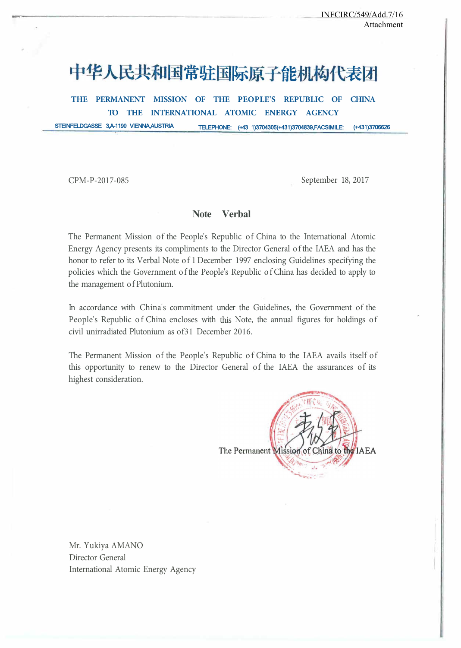# 中华人民共和国常驻国际原子能机构代表团

**THE PERMANENT MISSION OF THE PEOPLE'S REPUBLIC OF CHINA TO THE INTERNATIONAL ATOMIC ENERGY AGENCY** 

STEINFELDGASSE 3,A-1190 VIENNA,AUSTRIA TELEPHONE: (+43 1)3704305(+431)3704839,FACSIMILE: (+431)3706626

CPM-P-2017-085 September 18, 2017

#### **Note Verbal**

The Permanent Mission of the People's Republic of China to the International Atomic Energy Agency presents its compliments to the Director General of the IAEA and has the honor to refer to its Verbal Note of 1 December 1997 enclosing Guidelines specifying the policies which the Government of the People's Republic of China has decided to apply to the management of Plutonium.

In accordance with China's commitment under the Guidelines, the Government of the People's Republic of China encloses with this Note, the annual figures for holdings of civil unirradiated Plutonium as of31 December 2016.

The Permanent Mission of the People's Republic of China to the IAEA avails itself of this opportunity to renew to the Director General of the IAEA the assurances of its highest consideration.



Mr. Yukiya AMANO Director General International Atomic Energy Agency